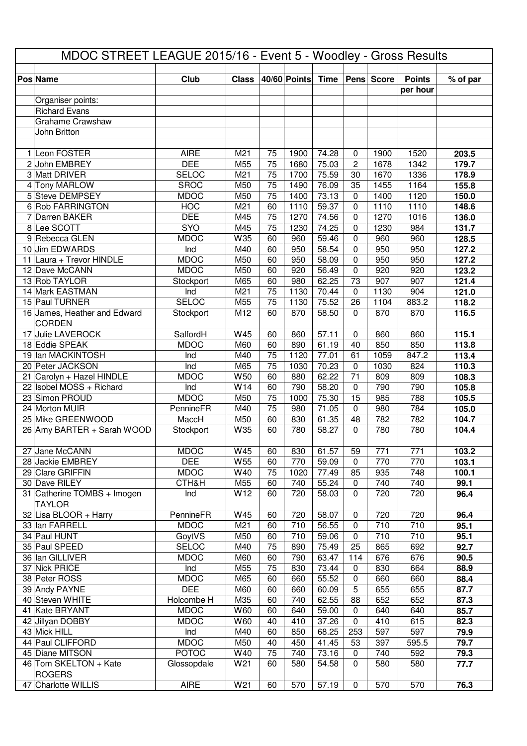| MDOC STREET LEAGUE 2015/16 - Event 5 - Woodley - Gross Results |                           |                 |          |              |                |                   |            |               |                |
|----------------------------------------------------------------|---------------------------|-----------------|----------|--------------|----------------|-------------------|------------|---------------|----------------|
|                                                                |                           |                 |          |              |                |                   |            |               |                |
| Pos Name                                                       | <b>Club</b>               | <b>Class</b>    |          | 40/60 Points | <b>Time</b>    |                   | Pens Score | <b>Points</b> | % of par       |
| Organiser points:                                              |                           |                 |          |              |                |                   |            | per hour      |                |
| <b>Richard Evans</b>                                           |                           |                 |          |              |                |                   |            |               |                |
| <b>Grahame Crawshaw</b>                                        |                           |                 |          |              |                |                   |            |               |                |
| John Britton                                                   |                           |                 |          |              |                |                   |            |               |                |
|                                                                |                           |                 |          |              |                |                   |            |               |                |
| 1 Leon FOSTER                                                  | <b>AIRE</b>               | M21             | 75       | 1900         | 74.28          | $\mathbf 0$       | 1900       | 1520          | 203.5          |
| 2 John EMBREY                                                  | <b>DEE</b>                | M55             | 75       | 1680         | 75.03          | $\overline{c}$    | 1678       | 1342          | 179.7          |
| 3 Matt DRIVER                                                  | <b>SELOC</b>              | M21             | 75       | 1700         | 75.59          | 30                | 1670       | 1336          | 178.9          |
| 4 Tony MARLOW                                                  | <b>SROC</b>               | M50             | 75       | 1490         | 76.09          | 35                | 1455       | 1164          | 155.8          |
| 5 Steve DEMPSEY                                                | <b>MDOC</b>               | M50             | 75       | 1400         | 73.13          | $\mathbf 0$       | 1400       | 1120          | 150.0          |
| 6 Rob FARRINGTON                                               | <b>HOC</b>                | M21             | 60       | 1110         | 59.37          | 0                 | 1110       | 1110          | 148.6          |
| 7 Darren BAKER                                                 | <b>DEE</b>                | M45             | 75       | 1270         | 74.56          | 0                 | 1270       | 1016          | 136.0          |
| 8 Lee SCOTT                                                    | <b>SYO</b>                | M45             | 75       | 1230         | 74.25          | $\Omega$          | 1230       | 984           | 131.7          |
| 9 Rebecca GLEN                                                 | <b>MDOC</b>               | W35             | 60       | 960          | 59.46          | $\Omega$          | 960        | 960           | 128.5          |
| 10 Jim EDWARDS                                                 | Ind                       | M40             | 60       | 950          | 58.54          | $\Omega$          | 950        | 950           | 127.2          |
| 11 Laura + Trevor HINDLE                                       | <b>MDOC</b>               | M50             | 60       | 950          | 58.09<br>56.49 | $\Omega$          | 950        | 950           | 127.2          |
| 12 Dave McCANN<br>13 Rob TAYLOR                                | <b>MDOC</b>               | M50<br>M65      | 60<br>60 | 920<br>980   | 62.25          | $\Omega$<br>73    | 920<br>907 | 920<br>907    | 123.2<br>121.4 |
| 14 Mark EASTMAN                                                | Stockport<br>Ind          | M21             | 75       | 1130         | 70.44          | $\mathbf 0$       | 1130       | 904           | 121.0          |
| 15 Paul TURNER                                                 | <b>SELOC</b>              | M55             | 75       | 1130         | 75.52          | 26                | 1104       | 883.2         | 118.2          |
| 16 James, Heather and Edward                                   | Stockport                 | M12             | 60       | 870          | 58.50          | $\Omega$          | 870        | 870           | 116.5          |
| <b>CORDEN</b>                                                  |                           |                 |          |              |                |                   |            |               |                |
| 17 Julie LAVEROCK                                              | SalfordH                  | W45             | 60       | 860          | 57.11          | $\mathbf 0$       | 860        | 860           | 115.1          |
| 18 Eddie SPEAK                                                 | <b>MDOC</b>               | M60             | 60       | 890          | 61.19          | 40                | 850        | 850           | 113.8          |
| 19 Ian MACKINTOSH                                              | Ind                       | M40             | 75       | 1120         | 77.01          | 61                | 1059       | 847.2         | 113.4          |
| 20 Peter JACKSON                                               | Ind                       | M65             | 75       | 1030         | 70.23          | $\mathbf 0$       | 1030       | 824           | 110.3          |
| 21 Carolyn + Hazel HINDLE                                      | <b>MDOC</b>               | W <sub>50</sub> | 60       | 880          | 62.22          | 71                | 809        | 809           | 108.3          |
| 22 Isobel MOSS + Richard                                       | Ind                       | W14             | 60       | 790          | 58.20          | 0                 | 790        | 790           | 105.8          |
| 23 Simon PROUD                                                 | <b>MDOC</b>               | M50             | 75       | 1000         | 75.30          | 15                | 985        | 788           | 105.5          |
| 24 Morton MUIR                                                 | PennineFR                 | M40             | 75       | 980          | 71.05          | $\mathbf 0$       | 980        | 784           | 105.0          |
| 25 Mike GREENWOOD                                              | MaccH                     | M50             | 60       | 830          | 61.35          | 48                | 782        | 782           | 104.7          |
| 26 Amy BARTER + Sarah WOOD                                     | Stockport                 | W35             | 60       | 780          | 58.27          | $\Omega$          | 780        | 780           | 104.4          |
| 27 Jane McCANN                                                 | <b>MDOC</b>               | W45             | 60       | 830          | 61.57          | 59                | 771        | 771           | 103.2          |
| 28 Jackie EMBREY                                               | <b>DEE</b>                | W55             | 60       | 770          | 59.09          | $\mathbf 0$       | 770        | 770           | 103.1          |
| 29 Clare GRIFFIN                                               | <b>MDOC</b>               | W40             | 75       | 1020         | 77.49          | 85                | 935        | 748           | 100.1          |
| 30 Dave RILEY                                                  | CTH&H                     | M55             | 60       | 740          | 55.24          | $\pmb{0}$         | 740        | 740           | 99.1           |
| 31 Catherine TOMBS + Imogen                                    | Ind                       | W12             | 60       | 720          | 58.03          | $\mathbf 0$       | 720        | 720           | 96.4           |
| <b>TAYLOR</b>                                                  |                           |                 |          |              |                |                   |            |               |                |
| 32 Lisa BLOOR + Harry                                          | PennineFR                 | W45             | 60       | 720          | 58.07          | $\pmb{0}$         | 720        | 720           | 96.4           |
| 33 Ian FARRELL                                                 | <b>MDOC</b>               | M21             | 60       | 710          | 56.55          | 0                 | 710        | 710           | 95.1           |
| 34 Paul HUNT                                                   | GoytVS                    | M50             | 60       | 710          | 59.06          | $\pmb{0}$         | 710        | 710           | 95.1           |
| 35 Paul SPEED                                                  | <b>SELOC</b>              | M40             | 75       | 890          | 75.49          | 25                | 865        | 692           | 92.7           |
| 36 Ian GILLIVER                                                | <b>MDOC</b>               | M60             | 60       | 790          | 63.47          | 114               | 676        | 676           | 90.5           |
| 37 Nick PRICE                                                  | Ind                       | M55             | 75       | 830          | 73.44          | $\pmb{0}$         | 830        | 664           | 88.9           |
| 38 Peter ROSS                                                  | <b>MDOC</b>               | M65             | 60       | 660          | 55.52          | 0                 | 660        | 660           | 88.4           |
| 39 Andy PAYNE                                                  | <b>DEE</b>                | M60             | 60       | 660          | 60.09          | 5                 | 655        | 655           | 87.7           |
| 40 Steven WHITE<br>41 Kate BRYANT                              | Holcombe H<br><b>MDOC</b> | M35<br>W60      | 60<br>60 | 740<br>640   | 62.55<br>59.00 | 88<br>$\mathbf 0$ | 652<br>640 | 652<br>640    | 87.3<br>85.7   |
| 42 Jillyan DOBBY                                               | <b>MDOC</b>               | W60             | 40       | 410          | 37.26          | $\pmb{0}$         | 410        | 615           | 82.3           |
| 43 Mick HILL                                                   | Ind                       | M40             | 60       | 850          | 68.25          | 253               | 597        | 597           | 79.9           |
| 44 Paul CLIFFORD                                               | <b>MDOC</b>               | M50             | 40       | 450          | 41.45          | 53                | 397        | 595.5         | 79.7           |
| 45 Diane MITSON                                                | <b>POTOC</b>              | W40             | 75       | 740          | 73.16          | $\pmb{0}$         | 740        | 592           | 79.3           |
| 46 Tom SKELTON + Kate                                          | Glossopdale               | W21             | 60       | 580          | 54.58          | 0                 | 580        | 580           | 77.7           |
| <b>ROGERS</b>                                                  |                           |                 |          |              |                |                   |            |               |                |
| 47 Charlotte WILLIS                                            | <b>AIRE</b>               | W21             | 60       | 570          | 57.19          | 0                 | 570        | 570           | 76.3           |